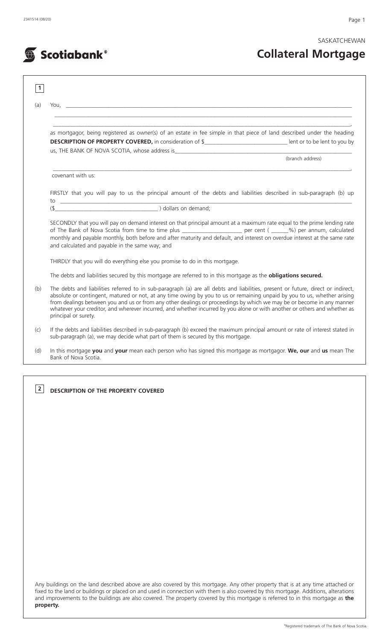SASKATCHEWAN

# **Collateral Mortgage**

| as mortgagor, being registered as owner(s) of an estate in fee simple in that piece of land described under the heading                                                                                                                                                                                                                                                                                                                                                                                                                    |                  |
|--------------------------------------------------------------------------------------------------------------------------------------------------------------------------------------------------------------------------------------------------------------------------------------------------------------------------------------------------------------------------------------------------------------------------------------------------------------------------------------------------------------------------------------------|------------------|
| DESCRIPTION OF PROPERTY COVERED, in consideration of \$__________________________________ lent or to be lent to you by                                                                                                                                                                                                                                                                                                                                                                                                                     |                  |
|                                                                                                                                                                                                                                                                                                                                                                                                                                                                                                                                            | (branch address) |
| covenant with us:                                                                                                                                                                                                                                                                                                                                                                                                                                                                                                                          |                  |
| FIRSTLY that you will pay to us the principal amount of the debts and liabilities described in sub-paragraph (b) up                                                                                                                                                                                                                                                                                                                                                                                                                        |                  |
| $(\frac{1}{2})$ dollars on demand;                                                                                                                                                                                                                                                                                                                                                                                                                                                                                                         |                  |
| SECONDLY that you will pay on demand interest on that principal amount at a maximum rate equal to the prime lending rate                                                                                                                                                                                                                                                                                                                                                                                                                   |                  |
| of The Bank of Nova Scotia from time to time plus _______________________ per cent (_____%) per annum, calculated<br>monthly and payable monthly, both before and after maturity and default, and interest on overdue interest at the same rate<br>and calculated and payable in the same way; and                                                                                                                                                                                                                                         |                  |
| THIRDLY that you will do everything else you promise to do in this mortgage.                                                                                                                                                                                                                                                                                                                                                                                                                                                               |                  |
| The debts and liabilities secured by this mortgage are referred to in this mortgage as the obligations secured.                                                                                                                                                                                                                                                                                                                                                                                                                            |                  |
| The debts and liabilities referred to in sub-paragraph (a) are all debts and liabilities, present or future, direct or indirect,<br>absolute or contingent, matured or not, at any time owing by you to us or remaining unpaid by you to us, whether arising<br>from dealings between you and us or from any other dealings or proceedings by which we may be or become in any manner<br>whatever your creditor, and wherever incurred, and whether incurred by you alone or with another or others and whether as<br>principal or surety. |                  |
| If the debts and liabilities described in sub-paragraph (b) exceed the maximum principal amount or rate of interest stated in<br>sub-paragraph (a), we may decide what part of them is secured by this mortgage.                                                                                                                                                                                                                                                                                                                           |                  |

**DESCRIPTION OF THE PROPERTY COVERED 2**

Any buildings on the land described above are also covered by this mortgage. Any other property that is at any time attached or fixed to the land or buildings or placed on and used in connection with them is also covered by this mortgage. Additions, alterations and improvements to the buildings are also covered. The property covered by this mortgage is referred to in this mortgage as **the property.**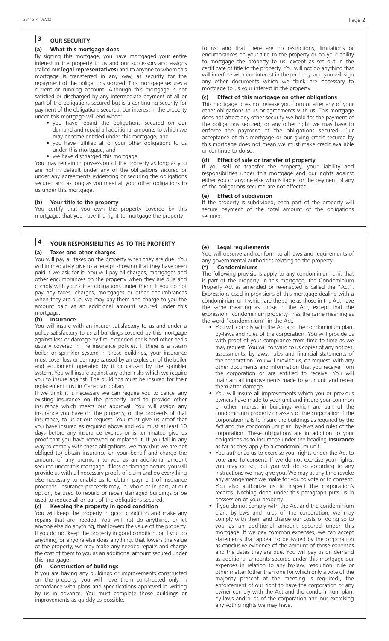### **OUR SECURITY 3**

#### **(a) What this mortgage does**

By signing this mortgage, you have mortgaged your entire interest in the property to us and our successors and assigns (called our **legal representatives**) and to anyone to whom this mortgage is transferred in any way, as security for the repayment of the obligations secured. This mortgage secures a current or running account. Although this mortgage is not satisfied or discharged by any intermediate payment of all or part of the obligations secured but is a continuing security for payment of the obligations secured, our interest in the property under this mortgage will end when:

- you have repaid the obligations secured on our demand and repaid all additional amounts to which we may become entitled under this mortgage, and
- you have fulfilled all of your other obligations to us under this mortgage, and
- we have discharged this mortgage.

You may remain in possession of the property as long as you are not in default under any of the obligations secured or under any agreements evidencing or securing the obligations secured and as long as you meet all your other obligations to us under this mortgage.

#### **(b) Your title to the property**

You certify that you own the property covered by this mortgage; that you have the right to mortgage the property

# **YOUR RESPONSIBILITIES AS TO THE PROPERTY 4**

#### **(a) Taxes and other charges**

You will pay all taxes on the property when they are due. You will immediately give us a receipt showing that they have been paid if we ask for it. You will pay all charges, mortgages and other encumbrances on the property when they are due and comply with your other obligations under them. If you do not pay any taxes, charges, mortgages or other encumbrances when they are due, we may pay them and charge to you the amount paid as an additional amount secured under this mortgage.

#### **(b) Insurance**

You will insure with an insurer satisfactory to us and under a policy satisfactory to us all buildings covered by this mortgage against loss or damage by fire, extended perils and other perils usually covered in fire insurance policies. If there is a steam boiler or sprinkler system in those buildings, your insurance must cover loss or damage caused by an explosion of the boiler and equipment operated by it or caused by the sprinkler system. You will insure against any other risks which we require you to insure against. The buildings must be insured for their replacement cost in Canadian dollars.

If we think it is necessary we can require you to cancel any existing insurance on the property, and to provide other insurance which meets our approval. You will assign any insurance you have on the property, or the proceeds of that insurance, to us at our request. You must give us proof that you have insured as required above and you must at least 10 days before any insurance expires or is terminated give us proof that you have renewed or replaced it. If you fail in any way to comply with these obligations, we may (but we are not obliged to) obtain insurance on your behalf and charge the amount of any premium to you as an additional amount secured under this mortgage. If loss or damage occurs, you will provide us with all necessary proofs of claim and do everything else necessary to enable us to obtain payment of insurance proceeds. Insurance proceeds may, in whole or in part, at our option, be used to rebuild or repair damaged buildings or be used to reduce all or part of the obligations secured.

#### **(c) Keeping the property in good condition**

You will keep the property in good condition and make any repairs that are needed. You will not do anything, or let anyone else do anything, that lowers the value of the property. If you do not keep the property in good condition, or if you do anything, or anyone else does anything, that lowers the value of the property, we may make any needed repairs and charge the cost of them to you as an additional amount secured under this mortgage.

#### **(d) Construction of buildings**

If you are having any buildings or improvements constructed on the property, you will have them constructed only in accordance with plans and specifications approved in writing by us in advance. You must complete those buildings or improvements as quickly as possible.

to us; and that there are no restrictions, limitations or encumbrances on your title to the property or on your ability to mortgage the property to us, except as set out in the certificate of title to the property. You will not do anything that will interfere with our interest in the property, and you will sign any other documents which we think are necessary to mortgage to us your interest in the property.

#### **(c) Effect of this mortgage on other obligations**

This mortgage does not release you from or alter any of your other obligations to us or agreements with us. This mortgage does not affect any other security we hold for the payment of the obligations secured, or any other right we may have to enforce the payment of the obligations secured. Our acceptance of this mortgage or our giving credit secured by this mortgage does not mean we must make credit available or continue to do so.

#### **(d) Effect of sale or transfer of property**

If you sell or transfer the property, your liability and responsibilities under this mortgage and our rights against either you or anyone else who is liable for the payment of any of the obligations secured are not affected.

#### **(e) Effect of subdivision**

If the property is subdivided, each part of the property will secure payment of the total amount of the obligations secured.

#### **(e) Legal requirements**

You will observe and conform to all laws and requirements of any governmental authorities relating to the property.

#### **(f) Condominiums**

The following provisions apply to any condominium unit that is part of the property. In this mortgage, the Condominium Property Act as amended or re-enacted is called the "Act". Expressions used in provisions of this mortgage dealing with a condominium unit which are the same as those in the Act have the same meaning as those in the Act, except that the expression "condominium property" has the same meaning as the word "condominium" in the Act.

- You will comply with the Act and the condominium plan, by-laws and rules of the corporation. You will provide us with proof of your compliance from time to time as we may request. You will forward to us copies of any notices, assessments, by-laws, rules and financial statements of the corporation. You will provide us, on request, with any other documents and information that you receive from the corporation or are entitled to receive. You will maintain all improvements made to your unit and repair them after damage.
- You will insure all improvements which you or previous owners have made to your unit and insure your common or other interest in buildings which are part of the condominium property or assets of the corporation if the corporation fails to insure the buildings as required by the Act and the condominium plan, by-laws and rules of the corporation. These obligations are in addition to your obligations as to insurance under the heading **Insurance** as far as they apply to a condominium unit.
- You authorize us to exercise your rights under the Act to vote and to consent. If we do not exercise your rights, you may do so, but you will do so according to any instructions we may give you. We may at any time revoke any arrangement we make for you to vote or to consent. You also authorize us to inspect the corporation's records. Nothing done under this paragraph puts us in possession of your property.
- If you do not comply with the Act and the condominium plan, by-laws and rules of the corporation, we may comply with them and charge our costs of doing so to you as an additional amount secured under this mortgage. If we pay common expenses, we can accept statements that appear to be issued by the corporation as conclusive evidence of the amount of those expenses and the dates they are due. You will pay us on demand as additional amounts secured under this mortgage our expenses in relation to any by-law, resolution, rule or other matter (other than one for which only a vote of the majority present at the meeting is required), the enforcement of our right to have the corporation or any owner comply with the Act and the condominium plan, by-laws and rules of the corporation and our exercising any voting rights we may have.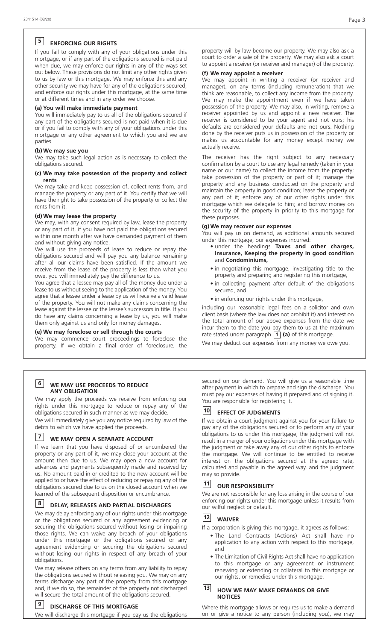# **ENFORCING OUR RIGHTS 5**

If you fail to comply with any of your obligations under this mortgage, or if any part of the obligations secured is not paid when due, we may enforce our rights in any of the ways set out below. These provisions do not limit any other rights given to us by law or this mortgage. We may enforce this and any other security we may have for any of the obligations secured, and enforce our rights under this mortgage, at the same time or at different times and in any order we choose.

#### **(a) You will make immediate payment**

You will immediately pay to us all of the obligations secured if any part of the obligations secured is not paid when it is due or if you fail to comply with any of your obligations under this mortgage or any other agreement to which you and we are parties.

#### **(b) We may sue you**

We may take such legal action as is necessary to collect the obligations secured.

#### **(c) We may take possession of the property and collect rents**

We may take and keep possession of, collect rents from, and manage the property or any part of it. You certify that we will have the right to take possession of the property or collect the rents from it.

#### **(d) We may lease the property**

We may, with any consent required by law, lease the property or any part of it, if you have not paid the obligations secured within one month after we have demanded payment of them and without giving any notice.

We will use the proceeds of lease to reduce or repay the obligations secured and will pay you any balance remaining after all our claims have been satisfied. If the amount we receive from the lease of the property is less than what you owe, you will immediately pay the difference to us.

You agree that a lessee may pay all of the money due under a lease to us without seeing to the application of the money. You agree that a lessee under a lease by us will receive a valid lease of the property. You will not make any claims concerning the lease against the lessee or the lessee's successors in title. If you do have any claims concerning a lease by us, you will make them only against us and only for money damages.

#### **(e) We may foreclose or sell through the courts**

We may commence court proceedings to foreclose the property. If we obtain a final order of foreclosure, the

# **6**

#### **WE MAY USE PROCEEDS TO REDUCE ANY OBLIGATION**

We may apply the proceeds we receive from enforcing our rights under this mortgage to reduce or repay any of the obligations secured in such manner as we may decide.

We will immediately give you any notice required by law of the debts to which we have applied the proceeds.

## **WE MAY OPEN A SEPARATE ACCOUNT 7**

If we learn that you have disposed of or encumbered the property or any part of it, we may close your account at the property of any part of it, we may ever you are you account for advances and payments subsequently made and received by us. No amount paid in or credited to the new account will be applied to or have the effect of reducing or repaying any of the obligations secured due to us on the closed account when we learned of the subsequent disposition or encumbrance.

#### **8**

#### **DELAY, RELEASES AND PARTIAL DISCHARGES**

We may delay enforcing any of our rights under this mortgage or the obligations secured or any agreement evidencing or securing the obligations secured without losing or impairing those rights. We can waive any breach of your obligations under this mortgage or the obligations secured or any agreement evidencing or securing the obligations secured without losing our rights in respect of any breach of your obligations.

We may release others on any terms from any liability to repay the obligations secured without releasing you. We may on any terms discharge any part of the property from this mortgage and, if we do so, the remainder of the property not discharged will secure the total amount of the obligations secured.

#### **DISCHARGE OF THIS MORTGAGE 9**

We will discharge this mortgage if you pay us the obligations

property will by law become our property. We may also ask a court to order a sale of the property. We may also ask a court to appoint a receiver (or receiver and manager) of the property.

#### **(f) We may appoint a receiver**

We may appoint in writing a receiver (or receiver and manager), on any terms (including remuneration) that we think are reasonable, to collect any income from the property. We may make the appointment even if we have taken possession of the property. We may also, in writing, remove a receiver appointed by us and appoint a new receiver. The receiver is considered to be your agent and not ours; his defaults are considered your defaults and not ours. Nothing done by the receiver puts us in possession of the property or makes us accountable for any money except money we actually receive.

The receiver has the right subject to any necessary confirmation by a court to use any legal remedy (taken in your name or our name) to collect the income from the property; take possession of the property or part of it; manage the property and any business conducted on the property and maintain the property in good condition; lease the property or any part of it; enforce any of our other rights under this mortgage which we delegate to him; and borrow money on the security of the property in priority to this mortgage for these purposes.

#### **(g) We may recover our expenses**

You will pay us on demand, as additional amounts secured under this mortgage, our expenses incurred:

- under the headings **Taxes and other charges, Insurance, Keeping the property in good condition** and **Condominiums,**
- in negotiating this mortgage, investigating title to the property and preparing and registering this mortgage,
- in collecting payment after default of the obligations secured, and
- in enforcing our rights under this mortgage,

including our reasonable legal fees on a solicitor and own client basis (where the law does not prohibit it) and interest on the total amount of our above expenses from the date we incur them to the date you pay them to us at the maximum rate stated under paragraph  $\boxed{1}$  (a) of this mortgage.

We may deduct our expenses from any money we owe you.

secured on our demand. You will give us a reasonable time after payment in which to prepare and sign the discharge. You must pay our expenses of having it prepared and of signing it. You are responsible for registering it.

#### **EFFECT OF JUDGMENTS 10**

If we obtain a court judgment against you for your failure to pay any of the obligations secured or to perform any of your obligations to us under this mortgage, the judgment will not result in a merger of your obligations under this mortgage with the judgment or take away any of our other rights to enforce the mortgage. We will continue to be entitled to receive interest on the obligations secured at the agreed rate, calculated and payable in the agreed way, and the judgment may so provide.

#### **OUR RESPONSIBILITY 11**

We are not responsible for any loss arising in the course of our enforcing our rights under this mortgage unless it results from our wilful neglect or default.

#### **WAIVER 12**

If a corporation is giving this mortgage, it agrees as follows:

- The Land Contracts (Actions) Act shall have no application to any action with respect to this mortgage, and
- The Limitation of Civil Rights Act shall have no application to this mortgage or any agreement or instrument renewing or extending or collateral to this mortgage or our rights, or remedies under this mortgage.

#### **HOW WE MAY MAKE DEMANDS OR GIVE NOTICES 13**

Where this mortgage allows or requires us to make a demand on or give a notice to any person (including you), we may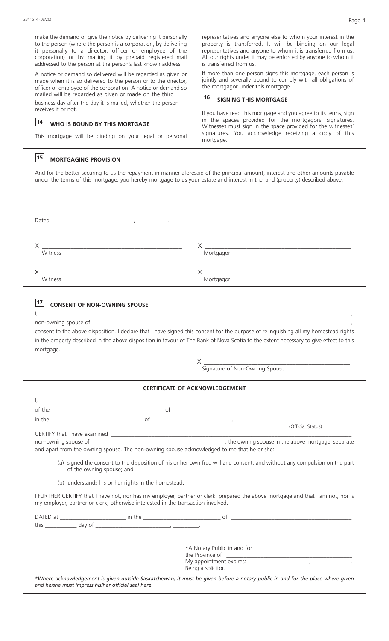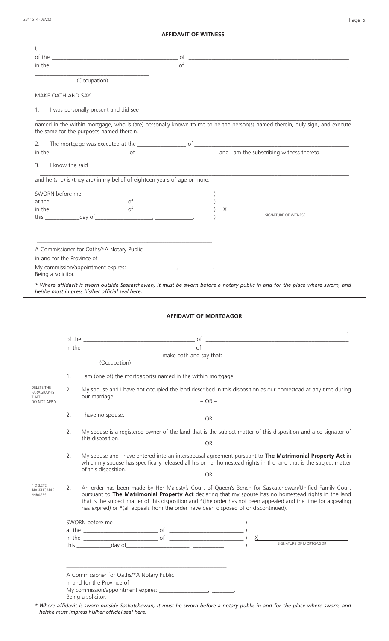|                                                                                                                                                                                                                                      | <b>AFFIDAVIT OF WITNESS</b>                                                                                                    |
|--------------------------------------------------------------------------------------------------------------------------------------------------------------------------------------------------------------------------------------|--------------------------------------------------------------------------------------------------------------------------------|
|                                                                                                                                                                                                                                      |                                                                                                                                |
|                                                                                                                                                                                                                                      | $\blacksquare$ in the $\blacksquare$                                                                                           |
| (Occupation)                                                                                                                                                                                                                         |                                                                                                                                |
| MAKE OATH AND SAY:                                                                                                                                                                                                                   |                                                                                                                                |
| 1.                                                                                                                                                                                                                                   |                                                                                                                                |
| the same for the purposes named therein.                                                                                                                                                                                             | named in the within mortgage, who is (are) personally known to me to be the person(s) named therein, duly sign, and execute    |
| 2.                                                                                                                                                                                                                                   |                                                                                                                                |
|                                                                                                                                                                                                                                      |                                                                                                                                |
| 3.                                                                                                                                                                                                                                   | I know the said strategies are all the said strategies and the same strategies are all the said strategies and                 |
| and he (she) is (they are) in my belief of eighteen years of age or more.                                                                                                                                                            |                                                                                                                                |
|                                                                                                                                                                                                                                      |                                                                                                                                |
| SWORN before me                                                                                                                                                                                                                      |                                                                                                                                |
|                                                                                                                                                                                                                                      |                                                                                                                                |
|                                                                                                                                                                                                                                      | SIGNATURE OF WITNESS                                                                                                           |
|                                                                                                                                                                                                                                      |                                                                                                                                |
|                                                                                                                                                                                                                                      |                                                                                                                                |
|                                                                                                                                                                                                                                      |                                                                                                                                |
| A Commissioner for Oaths/*A Notary Public                                                                                                                                                                                            |                                                                                                                                |
|                                                                                                                                                                                                                                      |                                                                                                                                |
| Being a solicitor.                                                                                                                                                                                                                   |                                                                                                                                |
|                                                                                                                                                                                                                                      | * Where affidavit is sworn outside Saskatchewan, it must be sworn before a notary public in and for the place where sworn, and |
| he/she must impress his/her official seal here.                                                                                                                                                                                      |                                                                                                                                |
|                                                                                                                                                                                                                                      |                                                                                                                                |
|                                                                                                                                                                                                                                      | <b>AFFIDAVIT OF MORTGAGOR</b>                                                                                                  |
|                                                                                                                                                                                                                                      |                                                                                                                                |
| <u> 1980 - Jan Salaman, mangang mga kalendar ng mga kalendar ng mga kalendar ng mga kalendar ng mga kalendar ng mga kalendar ng mga kalendar ng mga kalendar ng mga kalendar.  Ng mga kalendar ng mga kalendar ng mga kalendar n</u> |                                                                                                                                |
|                                                                                                                                                                                                                                      |                                                                                                                                |
|                                                                                                                                                                                                                                      | in the $\overline{\phantom{a}}$ of $\overline{\phantom{a}}$ of $\overline{\phantom{a}}$                                        |

(Occupation)

- 1. I am (one of) the mortgagor(s) named in the within mortgage.
- 2. My spouse and I have not occupied the land described in this disposition as our homestead at any time during our marriage.  $-OR -$ DELETE THE PARAGRAPHS THAT DO NOT APPLY
	- 2. I have no spouse.  $-OR -$
	- 2. My spouse is a registered owner of the land that is the subject matter of this disposition and a co-signator of this disposition.  $-OR -$
	- 2. My spouse and I have entered into an interspousal agreement pursuant to **The Matrimonial Property Act** in which my spouse has specifically released all his or her homestead rights in the land that is the subject matter of this disposition.  $-OR -$
- \* DELETE INAPPLICABLE PHRASES

| ABIF | An order has been made by Her Majesty's Court of Queen's Bench for Saskatchewan/Unified Family Court            |
|------|-----------------------------------------------------------------------------------------------------------------|
|      | pursuant to The Matrimonial Property Act declaring that my spouse has no homestead rights in the land           |
|      | that is the subject matter of this disposition and *(the order has not been appealed and the time for appealing |
|      | has expired) or *(all appeals from the order have been disposed of or discontinued).                            |
|      |                                                                                                                 |

| at the account of the state of the state of the state of the state of the state of the state of the state of the |                                           | 0t |                        |
|------------------------------------------------------------------------------------------------------------------|-------------------------------------------|----|------------------------|
| in the<br>this                                                                                                   | day of                                    | of | SIGNATURE OF MORTGAGOR |
|                                                                                                                  |                                           |    |                        |
|                                                                                                                  |                                           |    |                        |
|                                                                                                                  |                                           |    |                        |
|                                                                                                                  | A Commissioner for Oaths/*A Notary Public |    |                        |
|                                                                                                                  | in and for the Province of                |    |                        |
|                                                                                                                  |                                           |    |                        |
|                                                                                                                  |                                           |    |                        |
|                                                                                                                  | Being a solicitor.                        |    |                        |